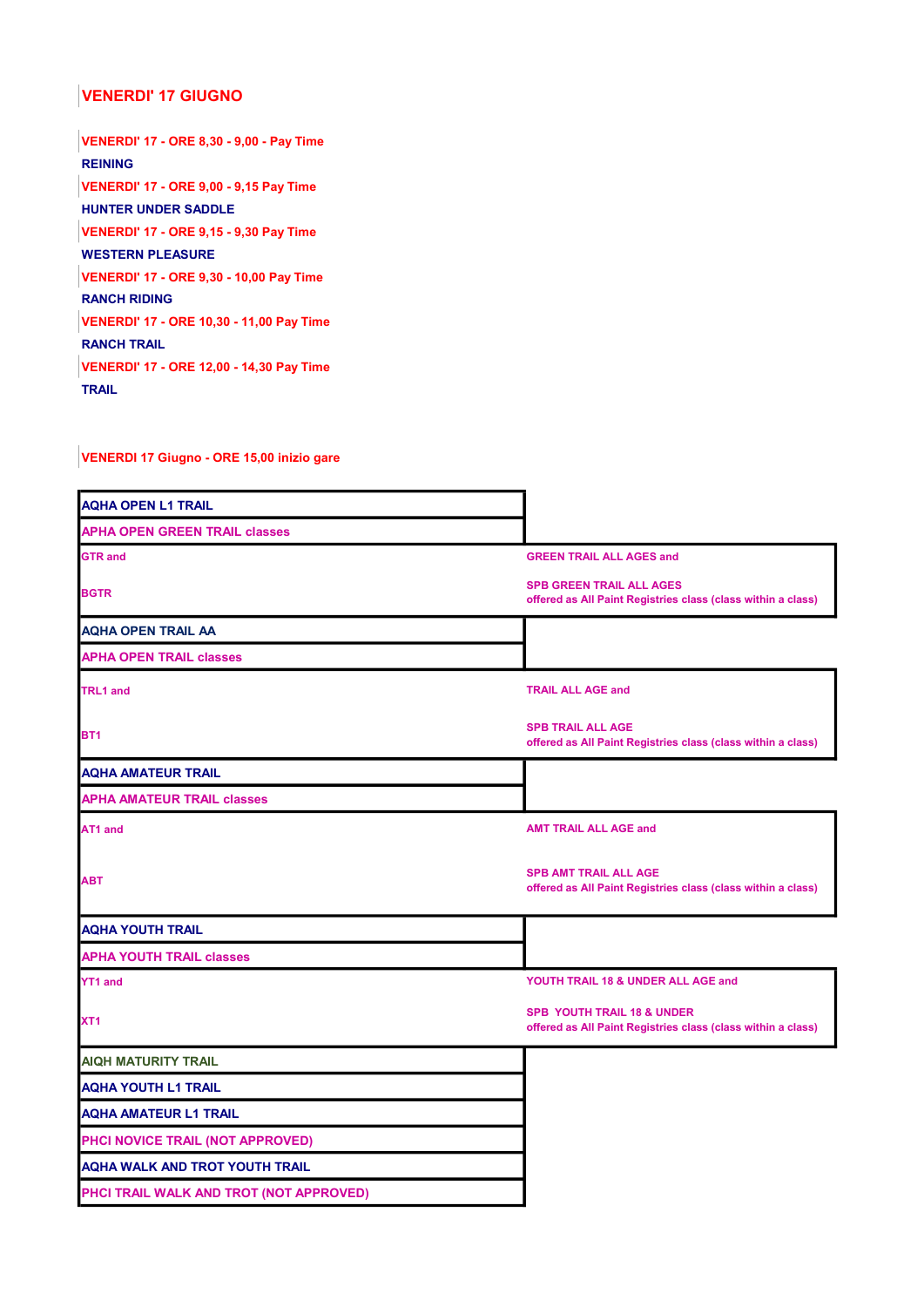## VENERDI' 17 GIUGNO

VENERDI' 17 - ORE 8,30 - 9,00 - Pay Time REINING VENERDI' 17 - ORE 9,00 - 9,15 Pay Time HUNTER UNDER SADDLE VENERDI' 17 - ORE 9,15 - 9,30 Pay Time WESTERN PLEASURE VENERDI' 17 - ORE 9,30 - 10,00 Pay Time RANCH RIDING VENERDI' 17 - ORE 10,30 - 11,00 Pay Time RANCH TRAIL VENERDI' 17 - ORE 12,00 - 14,30 Pay Time **TRAIL** 

VENERDI 17 Giugno - ORE 15,00 inizio gare

| <b>GREEN TRAIL ALL AGES and</b>                                                                 |
|-------------------------------------------------------------------------------------------------|
| <b>SPB GREEN TRAIL ALL AGES</b><br>offered as All Paint Registries class (class within a class) |
|                                                                                                 |
|                                                                                                 |
| <b>TRAIL ALL AGE and</b>                                                                        |
| <b>SPB TRAIL ALL AGE</b><br>offered as All Paint Registries class (class within a class)        |
|                                                                                                 |
|                                                                                                 |
| <b>AMT TRAIL ALL AGE and</b>                                                                    |
| <b>SPB AMT TRAIL ALL AGE</b><br>offered as All Paint Registries class (class within a class)    |
|                                                                                                 |
|                                                                                                 |
| YOUTH TRAIL 18 & UNDER ALL AGE and                                                              |
| SPB YOUTH TRAIL 18 & UNDER<br>offered as All Paint Registries class (class within a class)      |
|                                                                                                 |
|                                                                                                 |
|                                                                                                 |
|                                                                                                 |
|                                                                                                 |
|                                                                                                 |
|                                                                                                 |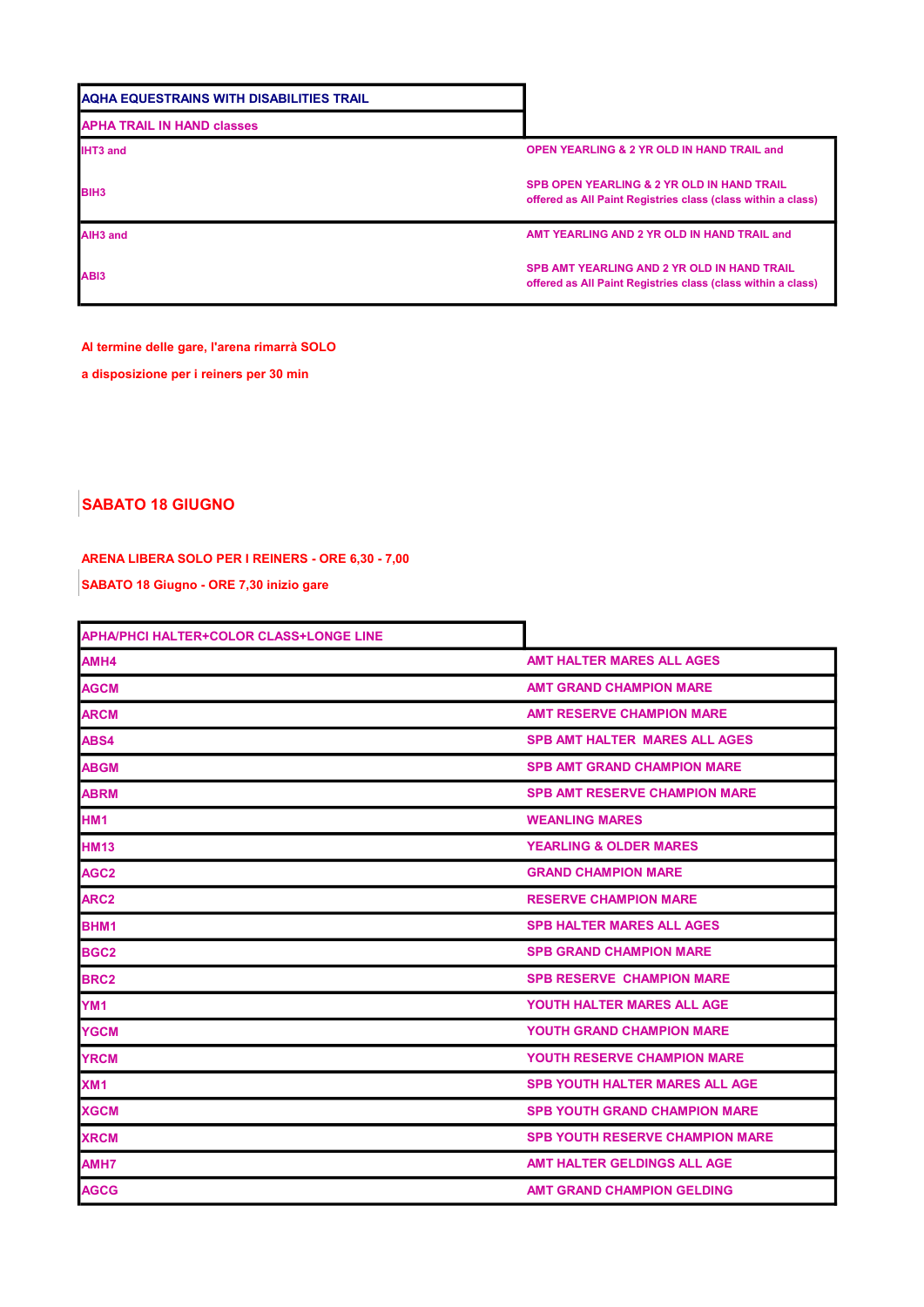| AQHA EQUESTRAINS WITH DISABILITIES TRAIL |                                                                                                                       |
|------------------------------------------|-----------------------------------------------------------------------------------------------------------------------|
| <b>APHA TRAIL IN HAND classes</b>        |                                                                                                                       |
| <b>IHT3 and</b>                          | <b>OPEN YEARLING &amp; 2 YR OLD IN HAND TRAIL and</b>                                                                 |
| <b>BIH3</b>                              | <b>SPB OPEN YEARLING &amp; 2 YR OLD IN HAND TRAIL</b><br>offered as All Paint Registries class (class within a class) |
| AIH <sub>3</sub> and                     | AMT YEARLING AND 2 YR OLD IN HAND TRAIL and                                                                           |
| AB <sub>13</sub>                         | <b>SPB AMT YEARLING AND 2 YR OLD IN HAND TRAIL</b><br>offered as All Paint Registries class (class within a class)    |

## Al termine delle gare, l'arena rimarrà SOLO

a disposizione per i reiners per 30 min

## SABATO 18 GIUGNO

## ARENA LIBERA SOLO PER I REINERS - ORE 6,30 - 7,00

SABATO 18 Giugno - ORE 7,30 inizio gare

| <b>APHA/PHCI HALTER+COLOR CLASS+LONGE LINE</b> |                                        |
|------------------------------------------------|----------------------------------------|
| AMH4                                           | <b>AMT HALTER MARES ALL AGES</b>       |
| <b>AGCM</b>                                    | <b>AMT GRAND CHAMPION MARE</b>         |
| <b>ARCM</b>                                    | <b>AMT RESERVE CHAMPION MARE</b>       |
| ABS4                                           | <b>SPB AMT HALTER MARES ALL AGES</b>   |
| <b>ABGM</b>                                    | <b>SPB AMT GRAND CHAMPION MARE</b>     |
| <b>ABRM</b>                                    | <b>SPB AMT RESERVE CHAMPION MARE</b>   |
| <b>HM1</b>                                     | <b>WEANLING MARES</b>                  |
| <b>HM13</b>                                    | <b>YEARLING &amp; OLDER MARES</b>      |
| AGC <sub>2</sub>                               | <b>GRAND CHAMPION MARE</b>             |
| ARC <sub>2</sub>                               | <b>RESERVE CHAMPION MARE</b>           |
| BHM <sub>1</sub>                               | <b>SPB HALTER MARES ALL AGES</b>       |
| BGC <sub>2</sub>                               | <b>SPB GRAND CHAMPION MARE</b>         |
| <b>BRC2</b>                                    | <b>SPB RESERVE CHAMPION MARE</b>       |
| YM <sub>1</sub>                                | YOUTH HALTER MARES ALL AGE             |
| <b>YGCM</b>                                    | <b>YOUTH GRAND CHAMPION MARE</b>       |
| <b>YRCM</b>                                    | <b>YOUTH RESERVE CHAMPION MARE</b>     |
| XM <sub>1</sub>                                | <b>SPB YOUTH HALTER MARES ALL AGE</b>  |
| <b>XGCM</b>                                    | <b>SPB YOUTH GRAND CHAMPION MARE</b>   |
| <b>XRCM</b>                                    | <b>SPB YOUTH RESERVE CHAMPION MARE</b> |
| AMH7                                           | AMT HALTER GELDINGS ALL AGE            |
| <b>AGCG</b>                                    | <b>AMT GRAND CHAMPION GELDING</b>      |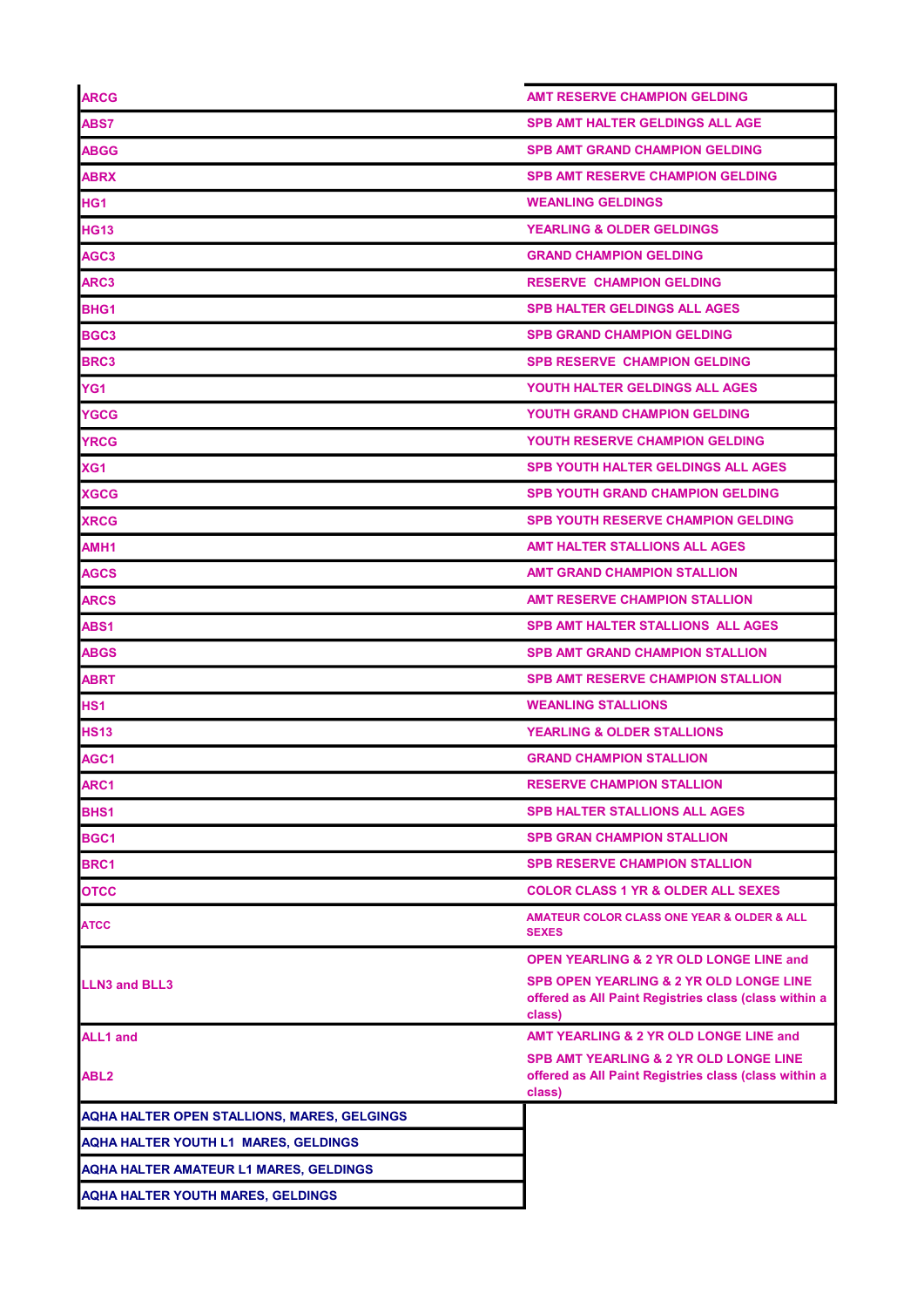| <b>ARCG</b>                                   | <b>AMT RESERVE CHAMPION GELDING</b>                                                                                   |
|-----------------------------------------------|-----------------------------------------------------------------------------------------------------------------------|
| ABS7                                          | <b>SPB AMT HALTER GELDINGS ALL AGE</b>                                                                                |
| <b>ABGG</b>                                   | <b>SPB AMT GRAND CHAMPION GELDING</b>                                                                                 |
| <b>ABRX</b>                                   | <b>SPB AMT RESERVE CHAMPION GELDING</b>                                                                               |
| HG <sub>1</sub>                               | <b>WEANLING GELDINGS</b>                                                                                              |
| <b>HG13</b>                                   | <b>YEARLING &amp; OLDER GELDINGS</b>                                                                                  |
| AGC <sub>3</sub>                              | <b>GRAND CHAMPION GELDING</b>                                                                                         |
| ARC3                                          | <b>RESERVE CHAMPION GELDING</b>                                                                                       |
| BHG1                                          | <b>SPB HALTER GELDINGS ALL AGES</b>                                                                                   |
| BGC3                                          | <b>SPB GRAND CHAMPION GELDING</b>                                                                                     |
| <b>BRC3</b>                                   | <b>SPB RESERVE CHAMPION GELDING</b>                                                                                   |
| YG1                                           | YOUTH HALTER GELDINGS ALL AGES                                                                                        |
| <b>YGCG</b>                                   | <b>YOUTH GRAND CHAMPION GELDING</b>                                                                                   |
| <b>YRCG</b>                                   | <b>YOUTH RESERVE CHAMPION GELDING</b>                                                                                 |
| XG1                                           | <b>SPB YOUTH HALTER GELDINGS ALL AGES</b>                                                                             |
| <b>XGCG</b>                                   | <b>SPB YOUTH GRAND CHAMPION GELDING</b>                                                                               |
| <b>XRCG</b>                                   | <b>SPB YOUTH RESERVE CHAMPION GELDING</b>                                                                             |
| AMH1                                          | AMT HALTER STALLIONS ALL AGES                                                                                         |
| <b>AGCS</b>                                   | AMT GRAND CHAMPION STALLION                                                                                           |
| <b>ARCS</b>                                   | <b>AMT RESERVE CHAMPION STALLION</b>                                                                                  |
| ABS <sub>1</sub>                              | SPB AMT HALTER STALLIONS ALL AGES                                                                                     |
| <b>ABGS</b>                                   | <b>SPB AMT GRAND CHAMPION STALLION</b>                                                                                |
| <b>ABRT</b>                                   | <b>SPB AMT RESERVE CHAMPION STALLION</b>                                                                              |
| HS <sub>1</sub>                               | <b>WEANLING STALLIONS</b>                                                                                             |
| <b>HS13</b>                                   | <b>YEARLING &amp; OLDER STALLIONS</b>                                                                                 |
| AGC1                                          | <b>GRAND CHAMPION STALLION</b>                                                                                        |
| ARC1                                          | <b>RESERVE CHAMPION STALLION</b>                                                                                      |
| BHS1                                          | <b>SPB HALTER STALLIONS ALL AGES</b>                                                                                  |
| BGC1                                          | <b>SPB GRAN CHAMPION STALLION</b>                                                                                     |
| BRC1                                          | <b>SPB RESERVE CHAMPION STALLION</b>                                                                                  |
| <b>OTCC</b>                                   | <b>COLOR CLASS 1 YR &amp; OLDER ALL SEXES</b>                                                                         |
| <b>ATCC</b>                                   | AMATEUR COLOR CLASS ONE YEAR & OLDER & ALL<br><b>SEXES</b>                                                            |
|                                               | <b>OPEN YEARLING &amp; 2 YR OLD LONGE LINE and</b>                                                                    |
| <b>LLN3 and BLL3</b>                          | <b>SPB OPEN YEARLING &amp; 2 YR OLD LONGE LINE</b><br>offered as All Paint Registries class (class within a<br>class) |
| <b>ALL1</b> and                               | AMT YEARLING & 2 YR OLD LONGE LINE and                                                                                |
| ABL <sub>2</sub>                              | <b>SPB AMT YEARLING &amp; 2 YR OLD LONGE LINE</b><br>offered as All Paint Registries class (class within a<br>class)  |
| AQHA HALTER OPEN STALLIONS, MARES, GELGINGS   |                                                                                                                       |
| <b>AQHA HALTER YOUTH L1 MARES, GELDINGS</b>   |                                                                                                                       |
| <b>AQHA HALTER AMATEUR L1 MARES, GELDINGS</b> |                                                                                                                       |
| <b>AQHA HALTER YOUTH MARES, GELDINGS</b>      |                                                                                                                       |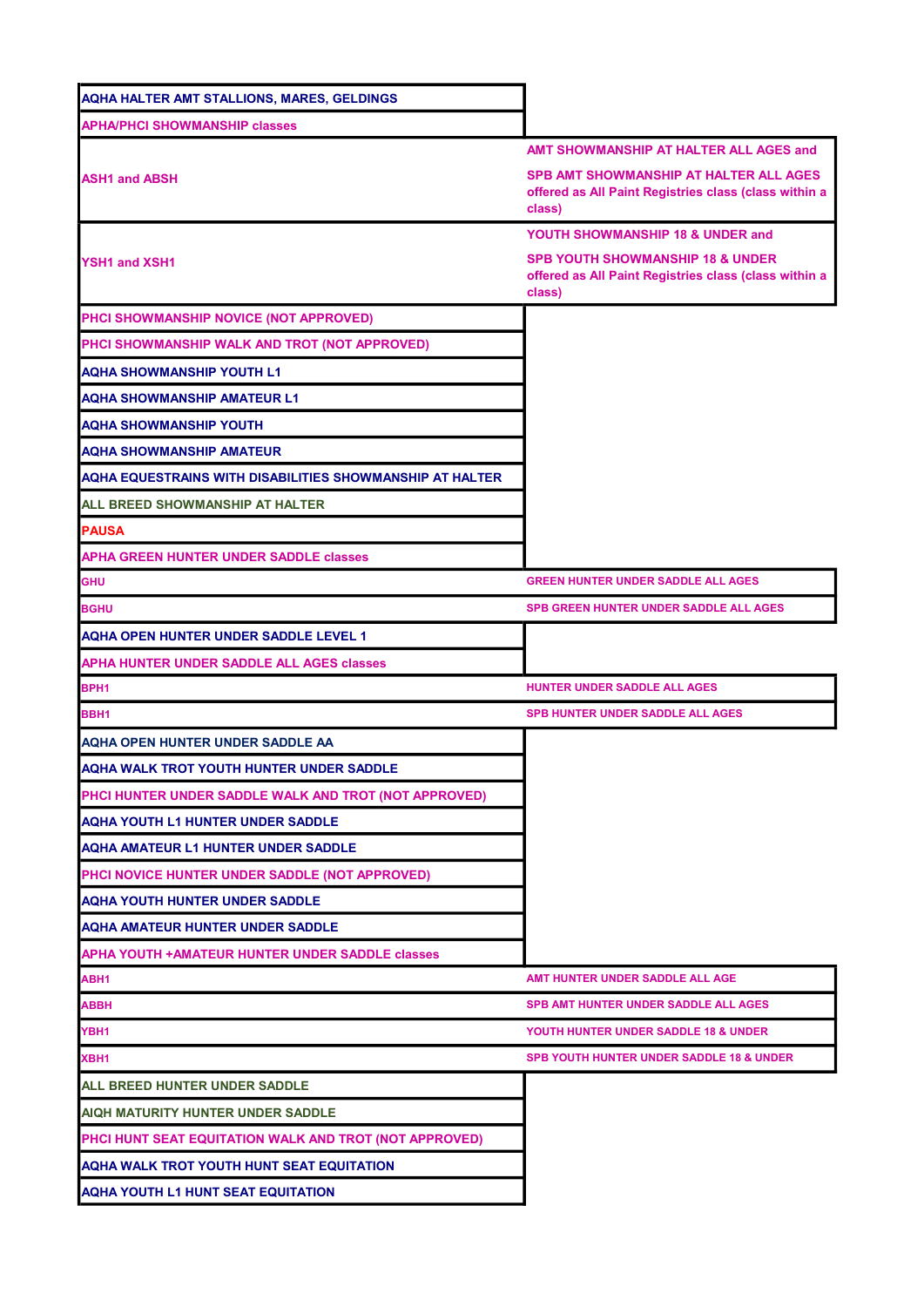| <b>AQHA HALTER AMT STALLIONS, MARES, GELDINGS</b>        |                                                                                                                |
|----------------------------------------------------------|----------------------------------------------------------------------------------------------------------------|
| <b>APHA/PHCI SHOWMANSHIP classes</b>                     |                                                                                                                |
|                                                          | AMT SHOWMANSHIP AT HALTER ALL AGES and                                                                         |
| <b>ASH1 and ABSH</b>                                     | SPB AMT SHOWMANSHIP AT HALTER ALL AGES<br>offered as All Paint Registries class (class within a<br>class)      |
|                                                          | YOUTH SHOWMANSHIP 18 & UNDER and                                                                               |
| <b>YSH1 and XSH1</b>                                     | <b>SPB YOUTH SHOWMANSHIP 18 &amp; UNDER</b><br>offered as All Paint Registries class (class within a<br>class) |
| PHCI SHOWMANSHIP NOVICE (NOT APPROVED)                   |                                                                                                                |
| PHCI SHOWMANSHIP WALK AND TROT (NOT APPROVED)            |                                                                                                                |
| <b>AQHA SHOWMANSHIP YOUTH L1</b>                         |                                                                                                                |
| <b>AQHA SHOWMANSHIP AMATEUR L1</b>                       |                                                                                                                |
| <b>AQHA SHOWMANSHIP YOUTH</b>                            |                                                                                                                |
| <b>AQHA SHOWMANSHIP AMATEUR</b>                          |                                                                                                                |
| AQHA EQUESTRAINS WITH DISABILITIES SHOWMANSHIP AT HALTER |                                                                                                                |
| ALL BREED SHOWMANSHIP AT HALTER                          |                                                                                                                |
| <b>PAUSA</b>                                             |                                                                                                                |
| <b>APHA GREEN HUNTER UNDER SADDLE classes</b>            |                                                                                                                |
| <b>GHU</b>                                               | <b>GREEN HUNTER UNDER SADDLE ALL AGES</b>                                                                      |
| <b>BGHU</b>                                              | <b>SPB GREEN HUNTER UNDER SADDLE ALL AGES</b>                                                                  |
| <b>AQHA OPEN HUNTER UNDER SADDLE LEVEL 1</b>             |                                                                                                                |
| APHA HUNTER UNDER SADDLE ALL AGES classes                |                                                                                                                |
| BPH <sub>1</sub>                                         | HUNTER UNDER SADDLE ALL AGES                                                                                   |
| BBH1                                                     | <b>SPB HUNTER UNDER SADDLE ALL AGES</b>                                                                        |
| AQHA OPEN HUNTER UNDER SADDLE AA                         |                                                                                                                |
| AQHA WALK TROT YOUTH HUNTER UNDER SADDLE                 |                                                                                                                |
| PHCI HUNTER UNDER SADDLE WALK AND TROT (NOT APPROVED)    |                                                                                                                |
| <b>AQHA YOUTH L1 HUNTER UNDER SADDLE</b>                 |                                                                                                                |
| AQHA AMATEUR L1 HUNTER UNDER SADDLE                      |                                                                                                                |
| PHCI NOVICE HUNTER UNDER SADDLE (NOT APPROVED)           |                                                                                                                |
| <b>AQHA YOUTH HUNTER UNDER SADDLE</b>                    |                                                                                                                |
| <b>AQHA AMATEUR HUNTER UNDER SADDLE</b>                  |                                                                                                                |
| APHA YOUTH +AMATEUR HUNTER UNDER SADDLE classes          |                                                                                                                |
| ABH1                                                     | AMT HUNTER UNDER SADDLE ALL AGE                                                                                |
| ABBH                                                     | <b>SPB AMT HUNTER UNDER SADDLE ALL AGES</b>                                                                    |
| YBH1                                                     | YOUTH HUNTER UNDER SADDLE 18 & UNDER                                                                           |
| XBH1                                                     | <b>SPB YOUTH HUNTER UNDER SADDLE 18 &amp; UNDER</b>                                                            |
| ALL BREED HUNTER UNDER SADDLE                            |                                                                                                                |
| AIQH MATURITY HUNTER UNDER SADDLE                        |                                                                                                                |
| PHCI HUNT SEAT EQUITATION WALK AND TROT (NOT APPROVED)   |                                                                                                                |
| AQHA WALK TROT YOUTH HUNT SEAT EQUITATION                |                                                                                                                |
| <b>AQHA YOUTH L1 HUNT SEAT EQUITATION</b>                |                                                                                                                |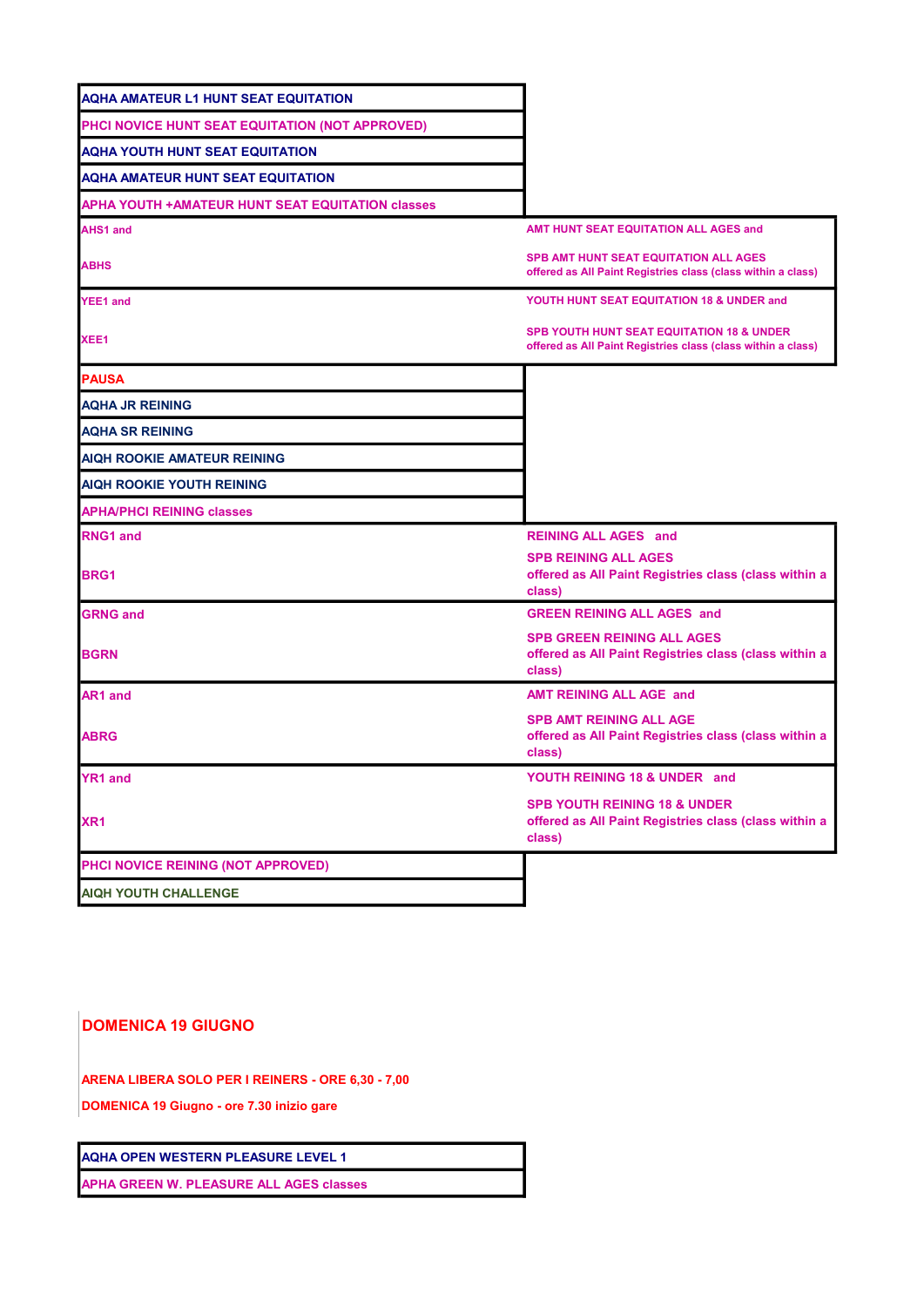| <b>AQHA AMATEUR L1 HUNT SEAT EQUITATION</b>              |                                                                                                                      |
|----------------------------------------------------------|----------------------------------------------------------------------------------------------------------------------|
| PHCI NOVICE HUNT SEAT EQUITATION (NOT APPROVED)          |                                                                                                                      |
| <b>AQHA YOUTH HUNT SEAT EQUITATION</b>                   |                                                                                                                      |
| <b>AQHA AMATEUR HUNT SEAT EQUITATION</b>                 |                                                                                                                      |
| <b>APHA YOUTH + AMATEUR HUNT SEAT EQUITATION classes</b> |                                                                                                                      |
| <b>AHS1 and</b>                                          | AMT HUNT SEAT EQUITATION ALL AGES and                                                                                |
| <b>ABHS</b>                                              | <b>SPB AMT HUNT SEAT EQUITATION ALL AGES</b><br>offered as All Paint Registries class (class within a class)         |
| <b>YEE1</b> and                                          | YOUTH HUNT SEAT EQUITATION 18 & UNDER and                                                                            |
| XEE1                                                     | <b>SPB YOUTH HUNT SEAT EQUITATION 18 &amp; UNDER</b><br>offered as All Paint Registries class (class within a class) |
| <b>PAUSA</b>                                             |                                                                                                                      |
| <b>AQHA JR REINING</b>                                   |                                                                                                                      |
| <b>AQHA SR REINING</b>                                   |                                                                                                                      |
| <b>AIQH ROOKIE AMATEUR REINING</b>                       |                                                                                                                      |
| <b>AIQH ROOKIE YOUTH REINING</b>                         |                                                                                                                      |
| <b>APHA/PHCI REINING classes</b>                         |                                                                                                                      |
| <b>RNG1 and</b>                                          | <b>REINING ALL AGES and</b>                                                                                          |
| <b>BRG1</b>                                              | <b>SPB REINING ALL AGES</b><br>offered as All Paint Registries class (class within a<br>class)                       |
| <b>GRNG and</b>                                          | <b>GREEN REINING ALL AGES and</b>                                                                                    |
| <b>BGRN</b>                                              | <b>SPB GREEN REINING ALL AGES</b><br>offered as All Paint Registries class (class within a<br>class)                 |
| <b>AR1 and</b>                                           | <b>AMT REINING ALL AGE and</b>                                                                                       |
| <b>ABRG</b>                                              | <b>SPB AMT REINING ALL AGE</b><br>offered as All Paint Registries class (class within a<br>class)                    |
| <b>YR1 and</b>                                           | YOUTH REINING 18 & UNDER and                                                                                         |
| XR <sub>1</sub>                                          | <b>SPB YOUTH REINING 18 &amp; UNDER</b><br>offered as All Paint Registries class (class within a<br>class)           |
| PHCI NOVICE REINING (NOT APPROVED)                       |                                                                                                                      |
| <b>AIQH YOUTH CHALLENGE</b>                              |                                                                                                                      |
|                                                          |                                                                                                                      |

DOMENICA 19 GIUGNO

ARENA LIBERA SOLO PER I REINERS - ORE 6,30 - 7,00

DOMENICA 19 Giugno - ore 7.30 inizio gare

AQHA OPEN WESTERN PLEASURE LEVEL 1

APHA GREEN W. PLEASURE ALL AGES classes